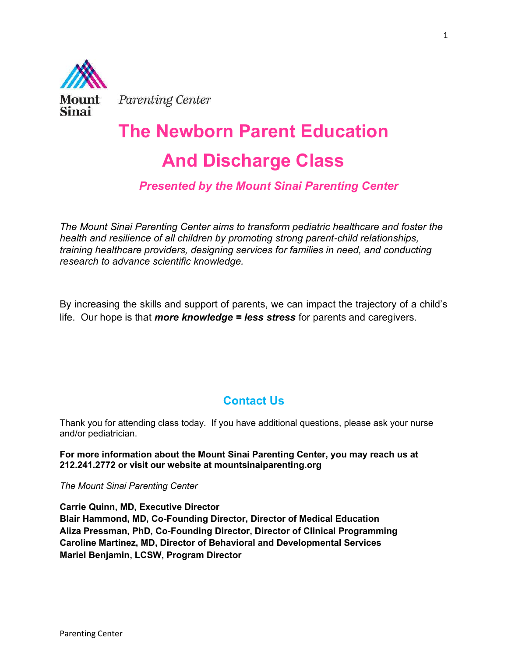

Parenting Center

# The Newborn Parent Education And Discharge Class

# Presented by the Mount Sinai Parenting Center

The Mount Sinai Parenting Center aims to transform pediatric healthcare and foster the health and resilience of all children by promoting strong parent-child relationships, training healthcare providers, designing services for families in need, and conducting research to advance scientific knowledge.

By increasing the skills and support of parents, we can impact the trajectory of a child's life. Our hope is that *more knowledge = less stress* for parents and caregivers.

# Contact Us

Thank you for attending class today. If you have additional questions, please ask your nurse and/or pediatrician.

For more information about the Mount Sinai Parenting Center, you may reach us at 212.241.2772 or visit our website at mountsinaiparenting.org

The Mount Sinai Parenting Center

Carrie Quinn, MD, Executive Director Blair Hammond, MD, Co-Founding Director, Director of Medical Education Aliza Pressman, PhD, Co-Founding Director, Director of Clinical Programming Caroline Martinez, MD, Director of Behavioral and Developmental Services Mariel Benjamin, LCSW, Program Director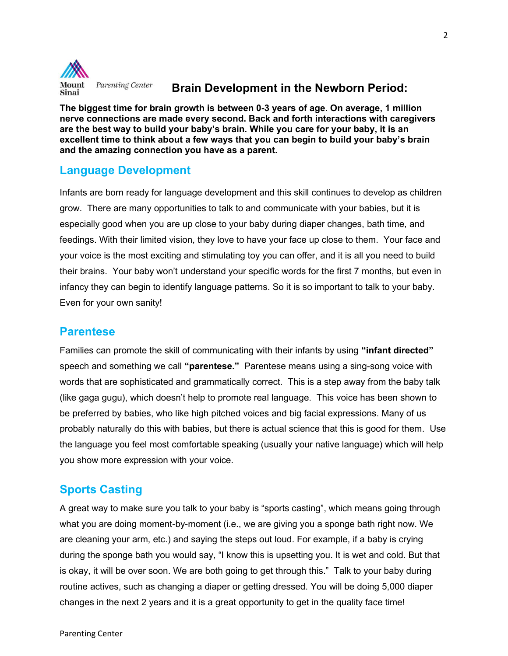

### Brain Development in the Newborn Period:

The biggest time for brain growth is between 0-3 years of age. On average, 1 million nerve connections are made every second. Back and forth interactions with caregivers are the best way to build your baby's brain. While you care for your baby, it is an excellent time to think about a few ways that you can begin to build your baby's brain and the amazing connection you have as a parent.

# Language Development

Infants are born ready for language development and this skill continues to develop as children grow. There are many opportunities to talk to and communicate with your babies, but it is especially good when you are up close to your baby during diaper changes, bath time, and feedings. With their limited vision, they love to have your face up close to them. Your face and your voice is the most exciting and stimulating toy you can offer, and it is all you need to build their brains. Your baby won't understand your specific words for the first 7 months, but even in infancy they can begin to identify language patterns. So it is so important to talk to your baby. Even for your own sanity!

# **Parentese**

Families can promote the skill of communicating with their infants by using "infant directed" speech and something we call "**parentese.**" Parentese means using a sing-song voice with words that are sophisticated and grammatically correct. This is a step away from the baby talk (like gaga gugu), which doesn't help to promote real language. This voice has been shown to be preferred by babies, who like high pitched voices and big facial expressions. Many of us probably naturally do this with babies, but there is actual science that this is good for them. Use the language you feel most comfortable speaking (usually your native language) which will help you show more expression with your voice.

# Sports Casting

A great way to make sure you talk to your baby is "sports casting", which means going through what you are doing moment-by-moment (i.e., we are giving you a sponge bath right now. We are cleaning your arm, etc.) and saying the steps out loud. For example, if a baby is crying during the sponge bath you would say, "I know this is upsetting you. It is wet and cold. But that is okay, it will be over soon. We are both going to get through this." Talk to your baby during routine actives, such as changing a diaper or getting dressed. You will be doing 5,000 diaper changes in the next 2 years and it is a great opportunity to get in the quality face time!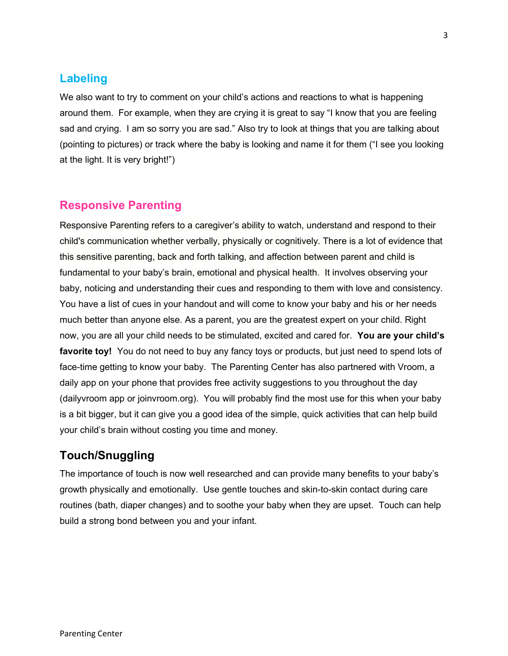# Labeling

We also want to try to comment on your child's actions and reactions to what is happening around them. For example, when they are crying it is great to say "I know that you are feeling sad and crying. I am so sorry you are sad." Also try to look at things that you are talking about (pointing to pictures) or track where the baby is looking and name it for them ("I see you looking at the light. It is very bright!")

# Responsive Parenting

Responsive Parenting refers to a caregiver's ability to watch, understand and respond to their child's communication whether verbally, physically or cognitively. There is a lot of evidence that this sensitive parenting, back and forth talking, and affection between parent and child is fundamental to your baby's brain, emotional and physical health. It involves observing your baby, noticing and understanding their cues and responding to them with love and consistency. You have a list of cues in your handout and will come to know your baby and his or her needs much better than anyone else. As a parent, you are the greatest expert on your child. Right now, you are all your child needs to be stimulated, excited and cared for. You are your child's favorite toy! You do not need to buy any fancy toys or products, but just need to spend lots of face-time getting to know your baby. The Parenting Center has also partnered with Vroom, a daily app on your phone that provides free activity suggestions to you throughout the day (dailyvroom app or joinvroom.org). You will probably find the most use for this when your baby is a bit bigger, but it can give you a good idea of the simple, quick activities that can help build your child's brain without costing you time and money.

# Touch/Snuggling

The importance of touch is now well researched and can provide many benefits to your baby's growth physically and emotionally. Use gentle touches and skin-to-skin contact during care routines (bath, diaper changes) and to soothe your baby when they are upset. Touch can help build a strong bond between you and your infant.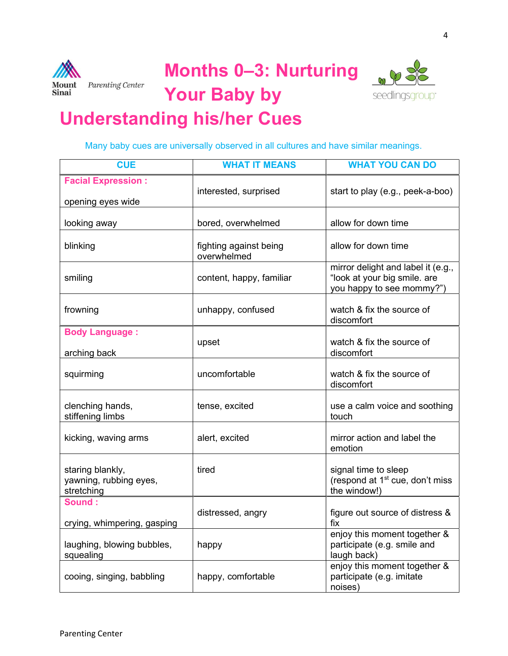





# Understanding his/her Cues

Many baby cues are universally observed in all cultures and have similar meanings.

| <b>CUE</b>                                               | <b>WHAT IT MEANS</b>                  | <b>WHAT YOU CAN DO</b>                                                                          |
|----------------------------------------------------------|---------------------------------------|-------------------------------------------------------------------------------------------------|
| <b>Facial Expression:</b><br>opening eyes wide           | interested, surprised                 | start to play (e.g., peek-a-boo)                                                                |
| looking away                                             | bored, overwhelmed                    | allow for down time                                                                             |
| blinking                                                 | fighting against being<br>overwhelmed | allow for down time                                                                             |
| smiling                                                  | content, happy, familiar              | mirror delight and label it (e.g.,<br>"look at your big smile. are<br>you happy to see mommy?") |
| frowning                                                 | unhappy, confused                     | watch & fix the source of<br>discomfort                                                         |
| <b>Body Language:</b><br>arching back                    | upset                                 | watch & fix the source of<br>discomfort                                                         |
| squirming                                                | uncomfortable                         | watch & fix the source of<br>discomfort                                                         |
| clenching hands,<br>stiffening limbs                     | tense, excited                        | use a calm voice and soothing<br>touch                                                          |
| kicking, waving arms                                     | alert, excited                        | mirror action and label the<br>emotion                                                          |
| staring blankly,<br>yawning, rubbing eyes,<br>stretching | tired                                 | signal time to sleep<br>(respond at 1 <sup>st</sup> cue, don't miss<br>the window!)             |
| Sound:<br>crying, whimpering, gasping                    | distressed, angry                     | figure out source of distress &<br>fix                                                          |
| laughing, blowing bubbles,<br>squealing                  | happy                                 | enjoy this moment together &<br>participate (e.g. smile and<br>laugh back)                      |
| cooing, singing, babbling                                | happy, comfortable                    | enjoy this moment together &<br>participate (e.g. imitate<br>noises)                            |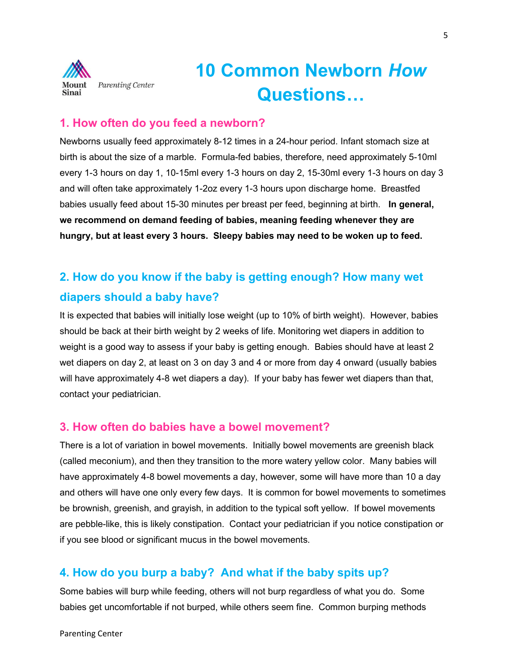

# 10 Common Newborn How Questions…

## 1. How often do you feed a newborn?

Newborns usually feed approximately 8-12 times in a 24-hour period. Infant stomach size at birth is about the size of a marble. Formula-fed babies, therefore, need approximately 5-10ml every 1-3 hours on day 1, 10-15ml every 1-3 hours on day 2, 15-30ml every 1-3 hours on day 3 and will often take approximately 1-2oz every 1-3 hours upon discharge home. Breastfed babies usually feed about 15-30 minutes per breast per feed, beginning at birth. In general, we recommend on demand feeding of babies, meaning feeding whenever they are hungry, but at least every 3 hours. Sleepy babies may need to be woken up to feed.

# 2. How do you know if the baby is getting enough? How many wet diapers should a baby have?

It is expected that babies will initially lose weight (up to 10% of birth weight). However, babies should be back at their birth weight by 2 weeks of life. Monitoring wet diapers in addition to weight is a good way to assess if your baby is getting enough. Babies should have at least 2 wet diapers on day 2, at least on 3 on day 3 and 4 or more from day 4 onward (usually babies will have approximately 4-8 wet diapers a day). If your baby has fewer wet diapers than that, contact your pediatrician.

# 3. How often do babies have a bowel movement?

There is a lot of variation in bowel movements. Initially bowel movements are greenish black (called meconium), and then they transition to the more watery yellow color. Many babies will have approximately 4-8 bowel movements a day, however, some will have more than 10 a day and others will have one only every few days. It is common for bowel movements to sometimes be brownish, greenish, and grayish, in addition to the typical soft yellow. If bowel movements are pebble-like, this is likely constipation. Contact your pediatrician if you notice constipation or if you see blood or significant mucus in the bowel movements.

# 4. How do you burp a baby? And what if the baby spits up?

Some babies will burp while feeding, others will not burp regardless of what you do. Some babies get uncomfortable if not burped, while others seem fine. Common burping methods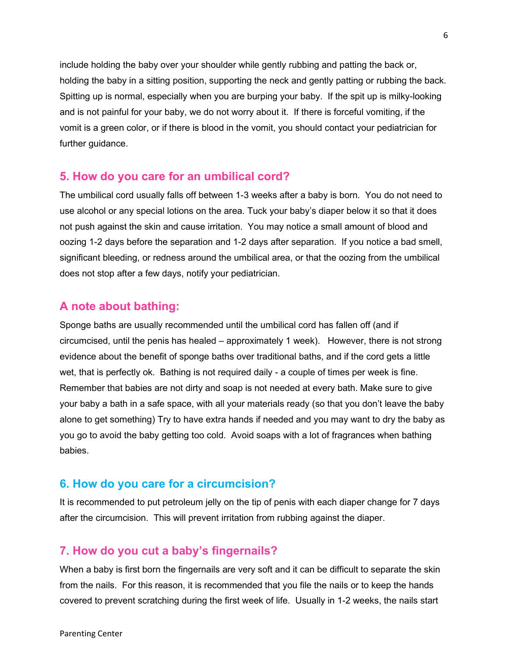include holding the baby over your shoulder while gently rubbing and patting the back or, holding the baby in a sitting position, supporting the neck and gently patting or rubbing the back. Spitting up is normal, especially when you are burping your baby. If the spit up is milky-looking and is not painful for your baby, we do not worry about it. If there is forceful vomiting, if the vomit is a green color, or if there is blood in the vomit, you should contact your pediatrician for further guidance.

#### 5. How do you care for an umbilical cord?

The umbilical cord usually falls off between 1-3 weeks after a baby is born. You do not need to use alcohol or any special lotions on the area. Tuck your baby's diaper below it so that it does not push against the skin and cause irritation. You may notice a small amount of blood and oozing 1-2 days before the separation and 1-2 days after separation. If you notice a bad smell, significant bleeding, or redness around the umbilical area, or that the oozing from the umbilical does not stop after a few days, notify your pediatrician.

#### A note about bathing:

Sponge baths are usually recommended until the umbilical cord has fallen off (and if circumcised, until the penis has healed – approximately 1 week). However, there is not strong evidence about the benefit of sponge baths over traditional baths, and if the cord gets a little wet, that is perfectly ok. Bathing is not required daily - a couple of times per week is fine. Remember that babies are not dirty and soap is not needed at every bath. Make sure to give your baby a bath in a safe space, with all your materials ready (so that you don't leave the baby alone to get something) Try to have extra hands if needed and you may want to dry the baby as you go to avoid the baby getting too cold. Avoid soaps with a lot of fragrances when bathing babies.

#### 6. How do you care for a circumcision?

It is recommended to put petroleum jelly on the tip of penis with each diaper change for 7 days after the circumcision. This will prevent irritation from rubbing against the diaper.

#### 7. How do you cut a baby's fingernails?

When a baby is first born the fingernails are very soft and it can be difficult to separate the skin from the nails. For this reason, it is recommended that you file the nails or to keep the hands covered to prevent scratching during the first week of life. Usually in 1-2 weeks, the nails start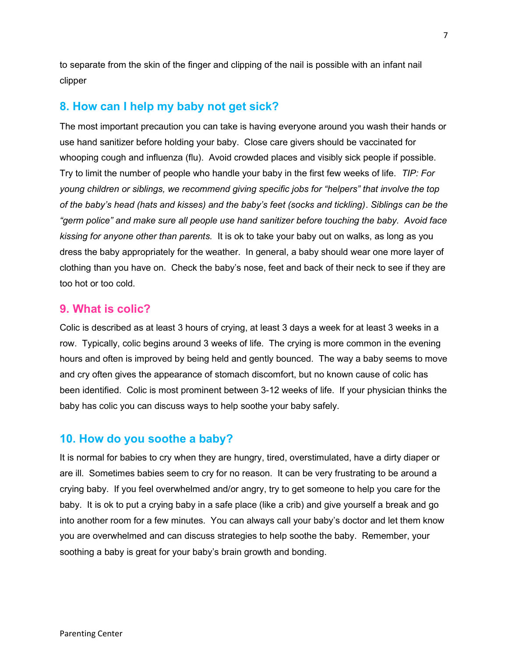to separate from the skin of the finger and clipping of the nail is possible with an infant nail clipper

# 8. How can I help my baby not get sick?

The most important precaution you can take is having everyone around you wash their hands or use hand sanitizer before holding your baby. Close care givers should be vaccinated for whooping cough and influenza (flu). Avoid crowded places and visibly sick people if possible. Try to limit the number of people who handle your baby in the first few weeks of life. TIP: For young children or siblings, we recommend giving specific jobs for "helpers" that involve the top of the baby's head (hats and kisses) and the baby's feet (socks and tickling). Siblings can be the "germ police" and make sure all people use hand sanitizer before touching the baby. Avoid face kissing for anyone other than parents. It is ok to take your baby out on walks, as long as you dress the baby appropriately for the weather. In general, a baby should wear one more layer of clothing than you have on. Check the baby's nose, feet and back of their neck to see if they are too hot or too cold.

#### 9. What is colic?

Colic is described as at least 3 hours of crying, at least 3 days a week for at least 3 weeks in a row. Typically, colic begins around 3 weeks of life. The crying is more common in the evening hours and often is improved by being held and gently bounced. The way a baby seems to move and cry often gives the appearance of stomach discomfort, but no known cause of colic has been identified. Colic is most prominent between 3-12 weeks of life. If your physician thinks the baby has colic you can discuss ways to help soothe your baby safely.

### 10. How do you soothe a baby?

It is normal for babies to cry when they are hungry, tired, overstimulated, have a dirty diaper or are ill. Sometimes babies seem to cry for no reason. It can be very frustrating to be around a crying baby. If you feel overwhelmed and/or angry, try to get someone to help you care for the baby. It is ok to put a crying baby in a safe place (like a crib) and give yourself a break and go into another room for a few minutes. You can always call your baby's doctor and let them know you are overwhelmed and can discuss strategies to help soothe the baby. Remember, your soothing a baby is great for your baby's brain growth and bonding.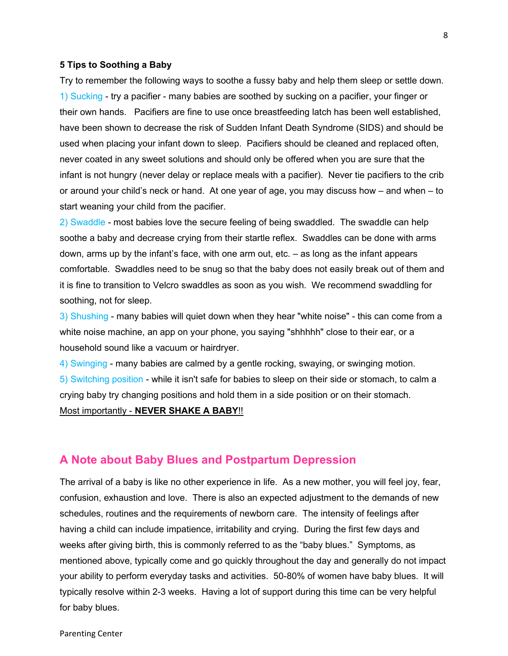#### 5 Tips to Soothing a Baby

Try to remember the following ways to soothe a fussy baby and help them sleep or settle down. 1) Sucking - try a pacifier - many babies are soothed by sucking on a pacifier, your finger or their own hands. Pacifiers are fine to use once breastfeeding latch has been well established, have been shown to decrease the risk of Sudden Infant Death Syndrome (SIDS) and should be used when placing your infant down to sleep. Pacifiers should be cleaned and replaced often, never coated in any sweet solutions and should only be offered when you are sure that the infant is not hungry (never delay or replace meals with a pacifier). Never tie pacifiers to the crib or around your child's neck or hand. At one year of age, you may discuss how – and when – to start weaning your child from the pacifier.

2) Swaddle - most babies love the secure feeling of being swaddled. The swaddle can help soothe a baby and decrease crying from their startle reflex. Swaddles can be done with arms down, arms up by the infant's face, with one arm out, etc. – as long as the infant appears comfortable. Swaddles need to be snug so that the baby does not easily break out of them and it is fine to transition to Velcro swaddles as soon as you wish. We recommend swaddling for soothing, not for sleep.

3) Shushing - many babies will quiet down when they hear "white noise" - this can come from a white noise machine, an app on your phone, you saying "shhhhh" close to their ear, or a household sound like a vacuum or hairdryer.

4) Swinging - many babies are calmed by a gentle rocking, swaying, or swinging motion. 5) Switching position - while it isn't safe for babies to sleep on their side or stomach, to calm a crying baby try changing positions and hold them in a side position or on their stomach. Most importantly - NEVER SHAKE A BABY!!

#### A Note about Baby Blues and Postpartum Depression

The arrival of a baby is like no other experience in life. As a new mother, you will feel joy, fear, confusion, exhaustion and love. There is also an expected adjustment to the demands of new schedules, routines and the requirements of newborn care. The intensity of feelings after having a child can include impatience, irritability and crying. During the first few days and weeks after giving birth, this is commonly referred to as the "baby blues." Symptoms, as mentioned above, typically come and go quickly throughout the day and generally do not impact your ability to perform everyday tasks and activities. 50-80% of women have baby blues. It will typically resolve within 2-3 weeks. Having a lot of support during this time can be very helpful for baby blues.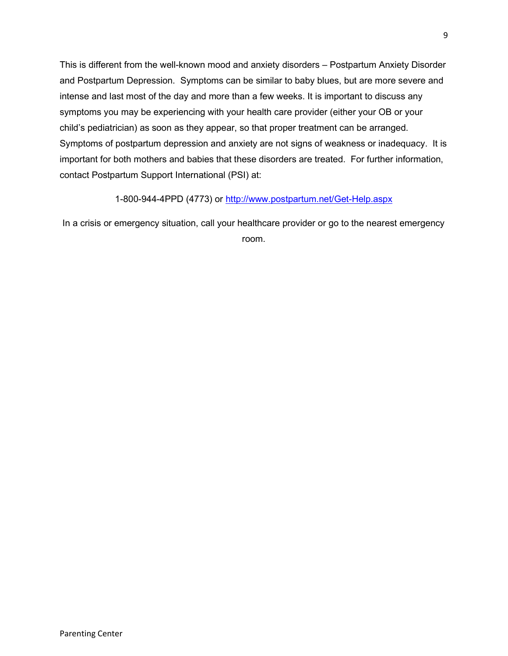This is different from the well-known mood and anxiety disorders – Postpartum Anxiety Disorder and Postpartum Depression. Symptoms can be similar to baby blues, but are more severe and intense and last most of the day and more than a few weeks. It is important to discuss any symptoms you may be experiencing with your health care provider (either your OB or your child's pediatrician) as soon as they appear, so that proper treatment can be arranged. Symptoms of postpartum depression and anxiety are not signs of weakness or inadequacy. It is important for both mothers and babies that these disorders are treated. For further information, contact Postpartum Support International (PSI) at:

1-800-944-4PPD (4773) or http://www.postpartum.net/Get-Help.aspx

In a crisis or emergency situation, call your healthcare provider or go to the nearest emergency room.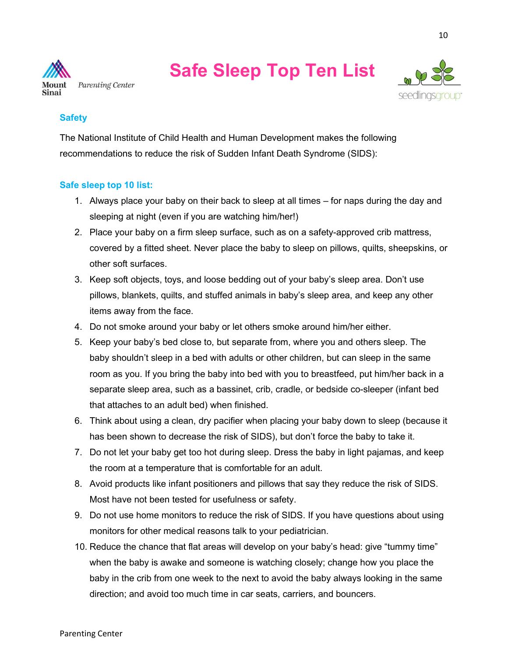

# Safe Sleep Top Ten List



#### **Safety**

The National Institute of Child Health and Human Development makes the following recommendations to reduce the risk of Sudden Infant Death Syndrome (SIDS):

#### Safe sleep top 10 list:

- 1. Always place your baby on their back to sleep at all times for naps during the day and sleeping at night (even if you are watching him/her!)
- 2. Place your baby on a firm sleep surface, such as on a safety-approved crib mattress, covered by a fitted sheet. Never place the baby to sleep on pillows, quilts, sheepskins, or other soft surfaces.
- 3. Keep soft objects, toys, and loose bedding out of your baby's sleep area. Don't use pillows, blankets, quilts, and stuffed animals in baby's sleep area, and keep any other items away from the face.
- 4. Do not smoke around your baby or let others smoke around him/her either.
- 5. Keep your baby's bed close to, but separate from, where you and others sleep. The baby shouldn't sleep in a bed with adults or other children, but can sleep in the same room as you. If you bring the baby into bed with you to breastfeed, put him/her back in a separate sleep area, such as a bassinet, crib, cradle, or bedside co-sleeper (infant bed that attaches to an adult bed) when finished.
- 6. Think about using a clean, dry pacifier when placing your baby down to sleep (because it has been shown to decrease the risk of SIDS), but don't force the baby to take it.
- 7. Do not let your baby get too hot during sleep. Dress the baby in light pajamas, and keep the room at a temperature that is comfortable for an adult.
- 8. Avoid products like infant positioners and pillows that say they reduce the risk of SIDS. Most have not been tested for usefulness or safety.
- 9. Do not use home monitors to reduce the risk of SIDS. If you have questions about using monitors for other medical reasons talk to your pediatrician.
- 10. Reduce the chance that flat areas will develop on your baby's head: give "tummy time" when the baby is awake and someone is watching closely; change how you place the baby in the crib from one week to the next to avoid the baby always looking in the same direction; and avoid too much time in car seats, carriers, and bouncers.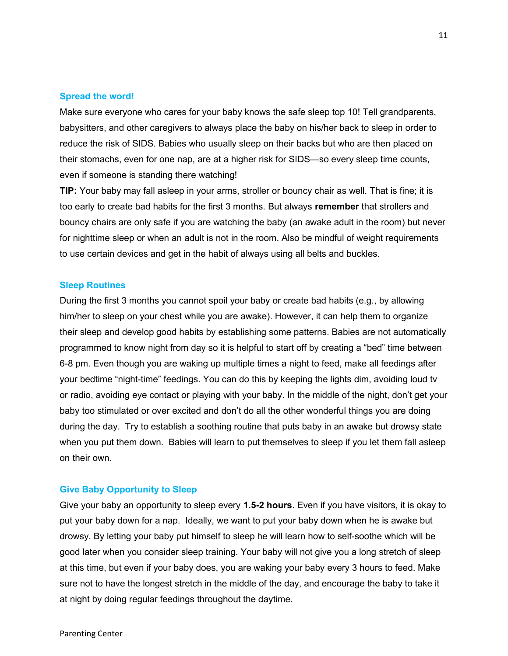#### Spread the word!

Make sure everyone who cares for your baby knows the safe sleep top 10! Tell grandparents, babysitters, and other caregivers to always place the baby on his/her back to sleep in order to reduce the risk of SIDS. Babies who usually sleep on their backs but who are then placed on their stomachs, even for one nap, are at a higher risk for SIDS—so every sleep time counts, even if someone is standing there watching!

TIP: Your baby may fall asleep in your arms, stroller or bouncy chair as well. That is fine; it is too early to create bad habits for the first 3 months. But always remember that strollers and bouncy chairs are only safe if you are watching the baby (an awake adult in the room) but never for nighttime sleep or when an adult is not in the room. Also be mindful of weight requirements to use certain devices and get in the habit of always using all belts and buckles.

#### Sleep Routines

During the first 3 months you cannot spoil your baby or create bad habits (e.g., by allowing him/her to sleep on your chest while you are awake). However, it can help them to organize their sleep and develop good habits by establishing some patterns. Babies are not automatically programmed to know night from day so it is helpful to start off by creating a "bed" time between 6-8 pm. Even though you are waking up multiple times a night to feed, make all feedings after your bedtime "night-time" feedings. You can do this by keeping the lights dim, avoiding loud tv or radio, avoiding eye contact or playing with your baby. In the middle of the night, don't get your baby too stimulated or over excited and don't do all the other wonderful things you are doing during the day. Try to establish a soothing routine that puts baby in an awake but drowsy state when you put them down. Babies will learn to put themselves to sleep if you let them fall asleep on their own.

#### Give Baby Opportunity to Sleep

Give your baby an opportunity to sleep every 1.5-2 hours. Even if you have visitors, it is okay to put your baby down for a nap. Ideally, we want to put your baby down when he is awake but drowsy. By letting your baby put himself to sleep he will learn how to self-soothe which will be good later when you consider sleep training. Your baby will not give you a long stretch of sleep at this time, but even if your baby does, you are waking your baby every 3 hours to feed. Make sure not to have the longest stretch in the middle of the day, and encourage the baby to take it at night by doing regular feedings throughout the daytime.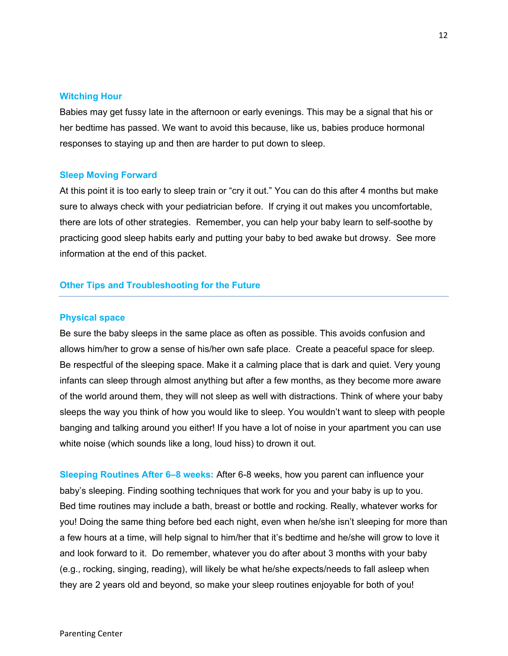#### Witching Hour

Babies may get fussy late in the afternoon or early evenings. This may be a signal that his or her bedtime has passed. We want to avoid this because, like us, babies produce hormonal responses to staying up and then are harder to put down to sleep.

#### Sleep Moving Forward

At this point it is too early to sleep train or "cry it out." You can do this after 4 months but make sure to always check with your pediatrician before. If crying it out makes you uncomfortable, there are lots of other strategies. Remember, you can help your baby learn to self-soothe by practicing good sleep habits early and putting your baby to bed awake but drowsy. See more information at the end of this packet.

#### Other Tips and Troubleshooting for the Future

#### Physical space

Be sure the baby sleeps in the same place as often as possible. This avoids confusion and allows him/her to grow a sense of his/her own safe place. Create a peaceful space for sleep. Be respectful of the sleeping space. Make it a calming place that is dark and quiet. Very young infants can sleep through almost anything but after a few months, as they become more aware of the world around them, they will not sleep as well with distractions. Think of where your baby sleeps the way you think of how you would like to sleep. You wouldn't want to sleep with people banging and talking around you either! If you have a lot of noise in your apartment you can use white noise (which sounds like a long, loud hiss) to drown it out.

Sleeping Routines After 6–8 weeks: After 6-8 weeks, how you parent can influence your baby's sleeping. Finding soothing techniques that work for you and your baby is up to you. Bed time routines may include a bath, breast or bottle and rocking. Really, whatever works for you! Doing the same thing before bed each night, even when he/she isn't sleeping for more than a few hours at a time, will help signal to him/her that it's bedtime and he/she will grow to love it and look forward to it. Do remember, whatever you do after about 3 months with your baby (e.g., rocking, singing, reading), will likely be what he/she expects/needs to fall asleep when they are 2 years old and beyond, so make your sleep routines enjoyable for both of you!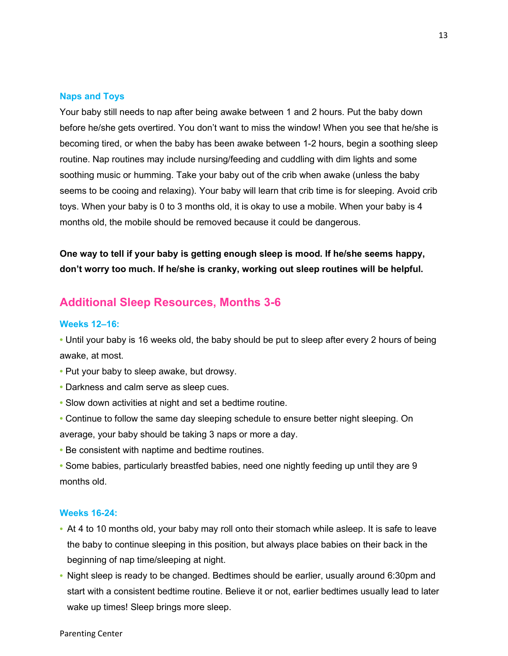#### Naps and Toys

Your baby still needs to nap after being awake between 1 and 2 hours. Put the baby down before he/she gets overtired. You don't want to miss the window! When you see that he/she is becoming tired, or when the baby has been awake between 1-2 hours, begin a soothing sleep routine. Nap routines may include nursing/feeding and cuddling with dim lights and some soothing music or humming. Take your baby out of the crib when awake (unless the baby seems to be cooing and relaxing). Your baby will learn that crib time is for sleeping. Avoid crib toys. When your baby is 0 to 3 months old, it is okay to use a mobile. When your baby is 4 months old, the mobile should be removed because it could be dangerous.

One way to tell if your baby is getting enough sleep is mood. If he/she seems happy, don't worry too much. If he/she is cranky, working out sleep routines will be helpful.

#### Additional Sleep Resources, Months 3-6

#### Weeks 12–16:

• Until your baby is 16 weeks old, the baby should be put to sleep after every 2 hours of being awake, at most.

- Put your baby to sleep awake, but drowsy.
- Darkness and calm serve as sleep cues.
- Slow down activities at night and set a bedtime routine.
- Continue to follow the same day sleeping schedule to ensure better night sleeping. On average, your baby should be taking 3 naps or more a day.
- Be consistent with naptime and bedtime routines.
- Some babies, particularly breastfed babies, need one nightly feeding up until they are 9 months old.

#### Weeks 16-24:

- At 4 to 10 months old, your baby may roll onto their stomach while asleep. It is safe to leave the baby to continue sleeping in this position, but always place babies on their back in the beginning of nap time/sleeping at night.
- Night sleep is ready to be changed. Bedtimes should be earlier, usually around 6:30pm and start with a consistent bedtime routine. Believe it or not, earlier bedtimes usually lead to later wake up times! Sleep brings more sleep.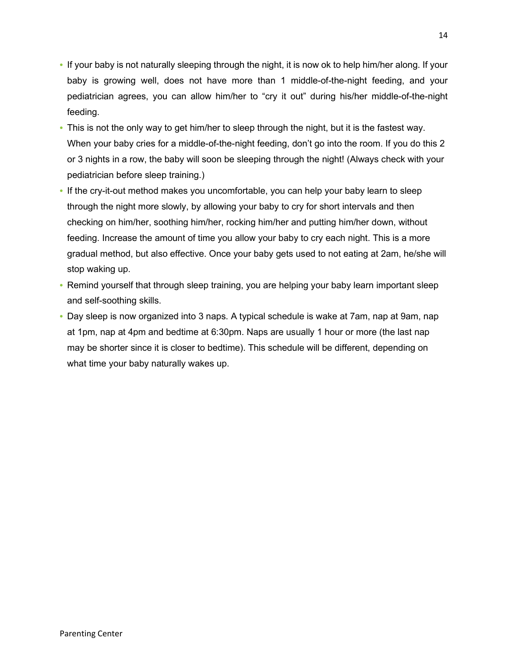- If your baby is not naturally sleeping through the night, it is now ok to help him/her along. If your baby is growing well, does not have more than 1 middle-of-the-night feeding, and your pediatrician agrees, you can allow him/her to "cry it out" during his/her middle-of-the-night feeding.
- This is not the only way to get him/her to sleep through the night, but it is the fastest way. When your baby cries for a middle-of-the-night feeding, don't go into the room. If you do this 2 or 3 nights in a row, the baby will soon be sleeping through the night! (Always check with your pediatrician before sleep training.)
- If the cry-it-out method makes you uncomfortable, you can help your baby learn to sleep through the night more slowly, by allowing your baby to cry for short intervals and then checking on him/her, soothing him/her, rocking him/her and putting him/her down, without feeding. Increase the amount of time you allow your baby to cry each night. This is a more gradual method, but also effective. Once your baby gets used to not eating at 2am, he/she will stop waking up.
- Remind yourself that through sleep training, you are helping your baby learn important sleep and self-soothing skills.
- Day sleep is now organized into 3 naps. A typical schedule is wake at 7am, nap at 9am, nap at 1pm, nap at 4pm and bedtime at 6:30pm. Naps are usually 1 hour or more (the last nap may be shorter since it is closer to bedtime). This schedule will be different, depending on what time your baby naturally wakes up.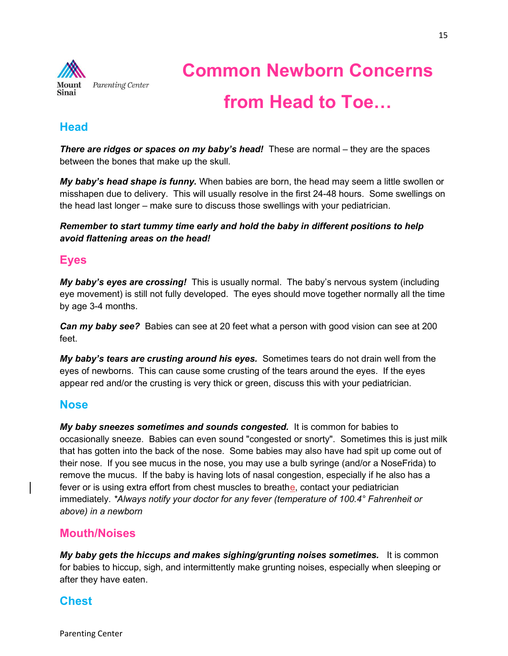

# Common Newborn Concerns from Head to Toe…

# **Head**

There are ridges or spaces on my baby's head! These are normal – they are the spaces between the bones that make up the skull.

My baby's head shape is funny. When babies are born, the head may seem a little swollen or misshapen due to delivery. This will usually resolve in the first 24-48 hours. Some swellings on the head last longer – make sure to discuss those swellings with your pediatrician.

Remember to start tummy time early and hold the baby in different positions to help avoid flattening areas on the head!

# Eyes

My baby's eyes are crossing! This is usually normal. The baby's nervous system (including eye movement) is still not fully developed. The eyes should move together normally all the time by age 3-4 months.

**Can my baby see?** Babies can see at 20 feet what a person with good vision can see at 200 feet.

My baby's tears are crusting around his eyes. Sometimes tears do not drain well from the eyes of newborns. This can cause some crusting of the tears around the eyes. If the eyes appear red and/or the crusting is very thick or green, discuss this with your pediatrician.

### Nose

My baby sneezes sometimes and sounds congested. It is common for babies to occasionally sneeze. Babies can even sound "congested or snorty". Sometimes this is just milk that has gotten into the back of the nose. Some babies may also have had spit up come out of their nose. If you see mucus in the nose, you may use a bulb syringe (and/or a NoseFrida) to remove the mucus. If the baby is having lots of nasal congestion, especially if he also has a fever or is using extra effort from chest muscles to breathe, contact your pediatrician immediately. \*Always notify your doctor for any fever (temperature of 100.4° Fahrenheit or above) in a newborn

### Mouth/Noises

My baby gets the hiccups and makes sighing/grunting noises sometimes. It is common for babies to hiccup, sigh, and intermittently make grunting noises, especially when sleeping or after they have eaten.

# **Chest**

Parenting Center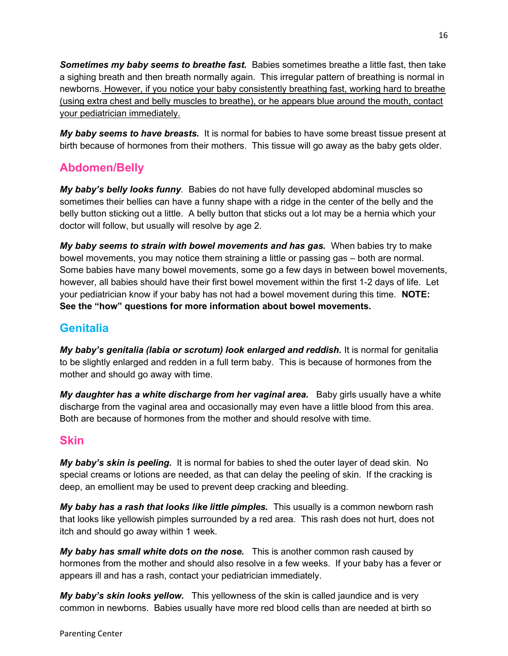Sometimes my baby seems to breathe fast. Babies sometimes breathe a little fast, then take a sighing breath and then breath normally again. This irregular pattern of breathing is normal in newborns. However, if you notice your baby consistently breathing fast, working hard to breathe (using extra chest and belly muscles to breathe), or he appears blue around the mouth, contact your pediatrician immediately.

My baby seems to have breasts. It is normal for babies to have some breast tissue present at birth because of hormones from their mothers. This tissue will go away as the baby gets older.

# Abdomen/Belly

My baby's belly looks funny. Babies do not have fully developed abdominal muscles so sometimes their bellies can have a funny shape with a ridge in the center of the belly and the belly button sticking out a little. A belly button that sticks out a lot may be a hernia which your doctor will follow, but usually will resolve by age 2.

My baby seems to strain with bowel movements and has gas. When babies try to make bowel movements, you may notice them straining a little or passing gas – both are normal. Some babies have many bowel movements, some go a few days in between bowel movements, however, all babies should have their first bowel movement within the first 1-2 days of life. Let your pediatrician know if your baby has not had a bowel movement during this time. NOTE: See the "how" questions for more information about bowel movements.

# **Genitalia**

My baby's genitalia (labia or scrotum) look enlarged and reddish. It is normal for genitalia to be slightly enlarged and redden in a full term baby. This is because of hormones from the mother and should go away with time.

My daughter has a white discharge from her vaginal area. Baby girls usually have a white discharge from the vaginal area and occasionally may even have a little blood from this area. Both are because of hormones from the mother and should resolve with time.

# Skin

My baby's skin is peeling. It is normal for babies to shed the outer layer of dead skin. No special creams or lotions are needed, as that can delay the peeling of skin. If the cracking is deep, an emollient may be used to prevent deep cracking and bleeding.

My baby has a rash that looks like little pimples. This usually is a common newborn rash that looks like yellowish pimples surrounded by a red area. This rash does not hurt, does not itch and should go away within 1 week.

My baby has small white dots on the nose. This is another common rash caused by hormones from the mother and should also resolve in a few weeks. If your baby has a fever or appears ill and has a rash, contact your pediatrician immediately.

My baby's skin looks yellow. This yellowness of the skin is called jaundice and is very common in newborns. Babies usually have more red blood cells than are needed at birth so